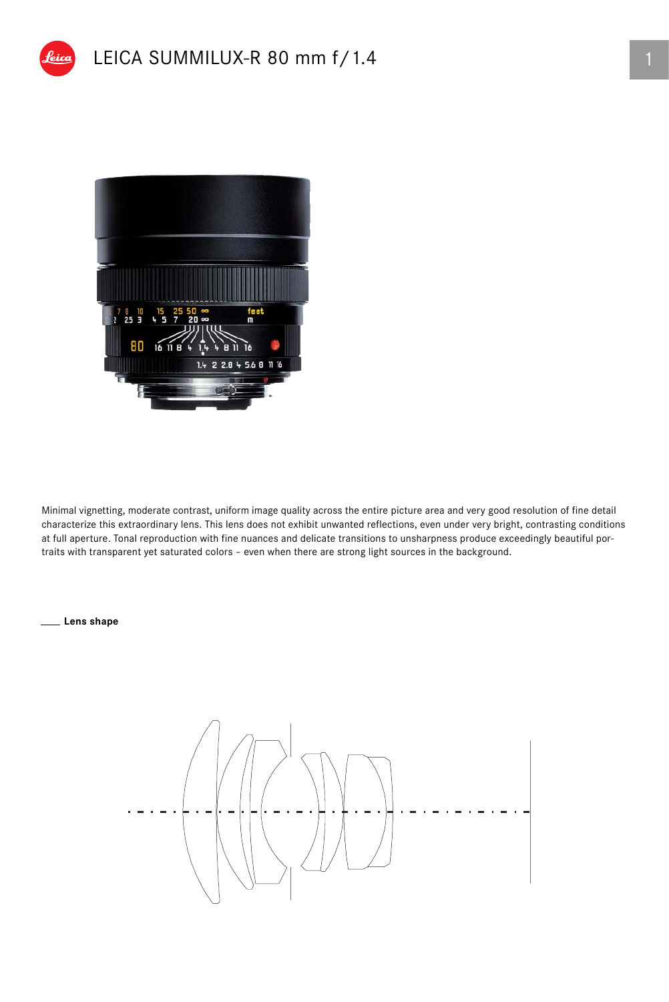



Minimal vignetting, moderate contrast, uniform image quality across the entire picture area and very good resolution of fine detail characterize this extraordinary lens. This lens does not exhibit unwanted reflections, even under very bright, contrasting conditions at full aperture. Tonal reproduction with fine nuances and delicate transitions to unsharpness produce exceedingly beautiful portraits with transparent yet saturated colors – even when there are strong light sources in the background.

**Lens shape**

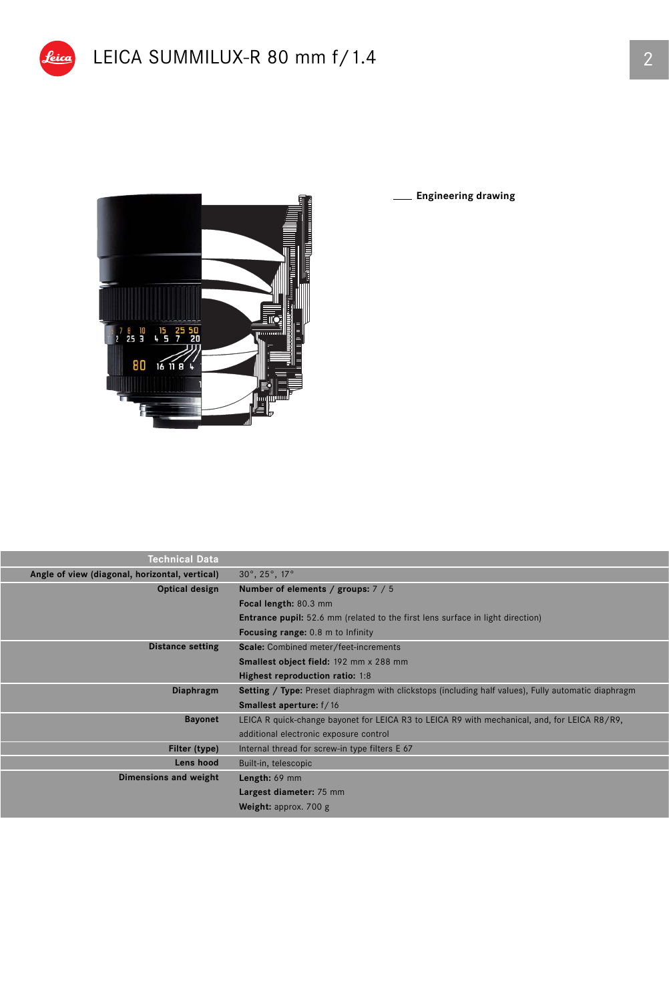

**Engineering drawing** J

| <b>Technical Data</b>                                            |                                                                                                            |  |  |  |
|------------------------------------------------------------------|------------------------------------------------------------------------------------------------------------|--|--|--|
| Angle of view (diagonal, horizontal, vertical)                   | $30^\circ$ , $25^\circ$ , $17^\circ$                                                                       |  |  |  |
| Optical design                                                   | Number of elements / groups: 7 / 5                                                                         |  |  |  |
|                                                                  | Focal length: 80.3 mm                                                                                      |  |  |  |
|                                                                  | <b>Entrance pupil:</b> 52.6 mm (related to the first lens surface in light direction)                      |  |  |  |
|                                                                  | <b>Focusing range:</b> 0.8 m to Infinity                                                                   |  |  |  |
| <b>Distance setting</b><br>Scale: Combined meter/feet-increments |                                                                                                            |  |  |  |
|                                                                  | Smallest object field: 192 mm x 288 mm                                                                     |  |  |  |
|                                                                  | Highest reproduction ratio: 1:8                                                                            |  |  |  |
| <b>Diaphragm</b>                                                 | <b>Setting / Type:</b> Preset diaphragm with clickstops (including half values), Fully automatic diaphragm |  |  |  |
|                                                                  | <b>Smallest aperture:</b> f/16                                                                             |  |  |  |
| <b>Bayonet</b>                                                   | LEICA R quick-change bayonet for LEICA R3 to LEICA R9 with mechanical, and, for LEICA R8/R9,               |  |  |  |
|                                                                  | additional electronic exposure control                                                                     |  |  |  |
| Filter (type)                                                    | Internal thread for screw-in type filters E 67                                                             |  |  |  |
| Lens hood                                                        | Built-in, telescopic                                                                                       |  |  |  |
| Dimensions and weight                                            | Length: 69 mm                                                                                              |  |  |  |
|                                                                  | Largest diameter: 75 mm                                                                                    |  |  |  |
|                                                                  | Weight: approx. 700 g                                                                                      |  |  |  |
|                                                                  |                                                                                                            |  |  |  |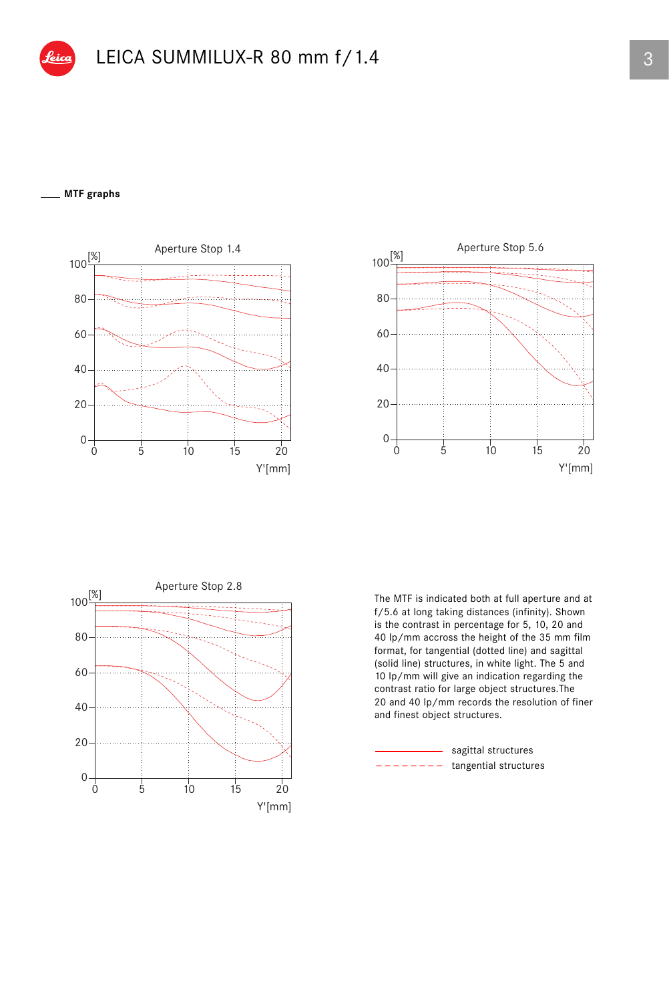## **MTF graphs**







The MTF is indicated both at full aperture and at f/5.6 at long taking distances (infinity). Shown is the contrast in percentage for 5, 10, 20 and 40 lp/mm accross the height of the 35 mm film format, for tangential (dotted line) and sagittal (solid line) structures, in white light. The 5 and 10 lp/mm will give an indication regarding the contrast ratio for large object structures.The 20 and 40 lp/mm records the resolution of finer and finest object structures.

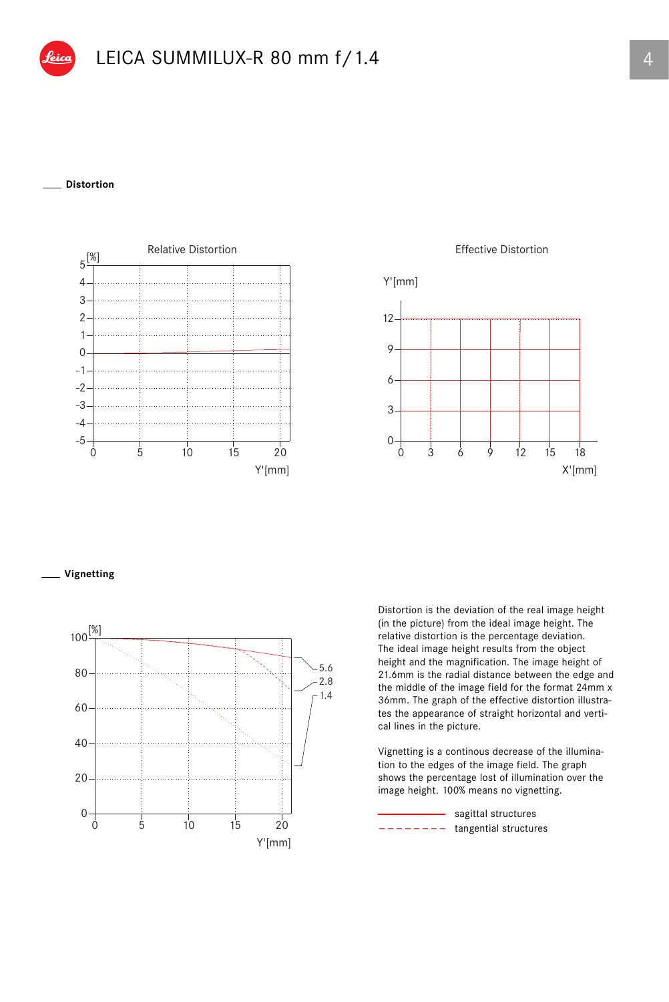## **Distortion**



Effective Distortion



## **Vignetting**



Distortion is the deviation of the real image height (in the picture) from the ideal image height. The relative distortion is the percentage deviation. The ideal image height results from the object height and the magnification. The image height of 21.6mm is the radial distance between the edge and the middle of the image field for the format 24mm x 36mm. The graph of the effective distortion illustrates the appearance of straight horizontal and vertical lines in the picture.

Vignetting is a continous decrease of the illumination to the edges of the image field. The graph shows the percentage lost of illumination over the image height. 100% means no vignetting.

tangential structures - sagittal structures \_ \_ \_ \_ \_ \_ \_ \_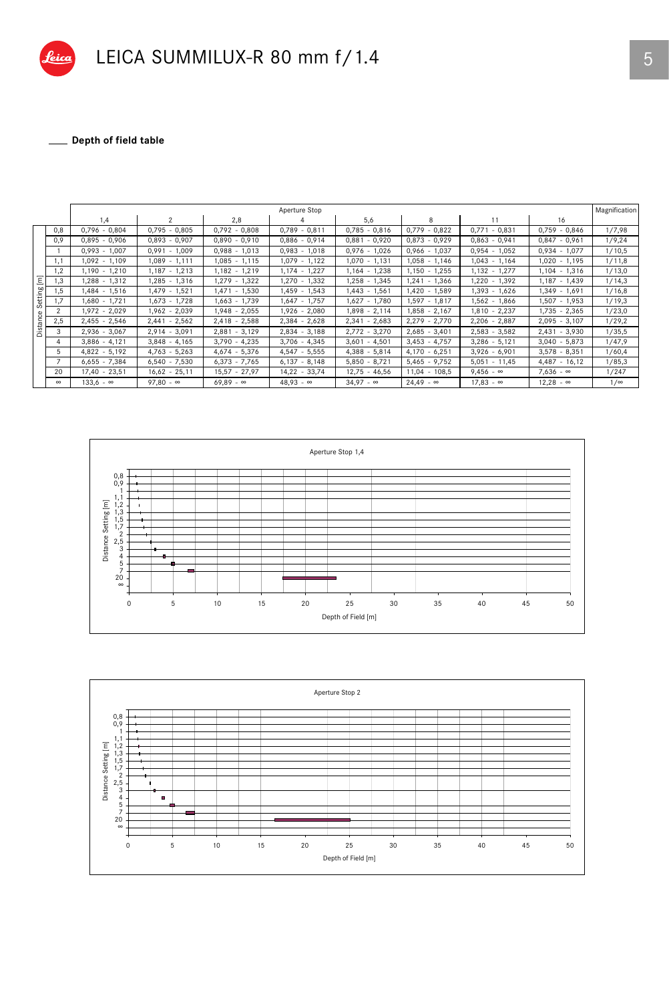

\_ Depth of field table 

|                          |                | Aperture Stop    |                  |                  |                  |                  |                  |                  |                  | Magnification |
|--------------------------|----------------|------------------|------------------|------------------|------------------|------------------|------------------|------------------|------------------|---------------|
|                          |                | 1,4              | $\mathcal{P}$    | 2,8              | 4                | 5,6              | 8                | 11               | 16               |               |
| Ξ<br>Setting<br>Distance | 0,8            | $0,796 - 0,804$  | $0,795 - 0,805$  | $0,792 - 0,808$  | $0,789 - 0,811$  | $0,785 - 0,816$  | $0,779 - 0,822$  | $0,771 - 0,831$  | $0,759 - 0,846$  | 1/7,98        |
|                          | 0,9            | $0.895 - 0.906$  | $0.893 - 0.907$  | $0.890 - 0.910$  | $0.886 - 0.914$  | $0,881 - 0,920$  | $0.873 - 0.929$  | $0.863 - 0.941$  | $0,847 - 0,961$  | 1/9,24        |
|                          |                | $0.993 - 1.007$  | $0,991 - 1,009$  | $0,988 - 1,013$  | $0,983 - 1,018$  | $0,976 - 1,026$  | $0.966 - 1.037$  | $0,954 - 1,052$  | $0,934 - 1,077$  | 1/10,5        |
|                          | 1,1            | $1.092 - 1.109$  | $1,089 - 1,111$  | $1,085 - 1,115$  | $1,079 - 1,122$  | $1,070 - 1,131$  | $1.058 - 1.146$  | $1.043 - 1.164$  | $1.020 - 1.195$  | 1/11,8        |
|                          | 1,2            | 1,190 - 1,210    | 1,187 - 1,213    | 1,182 - 1,219    | $1,174 - 1,227$  | 1,164 - 1,238    | $1,150 - 1,255$  | $1,132 - 1,277$  | 1,104 - 1,316    | 1/13,0        |
|                          | 1,3            | $,288 - 1,312$   | $.285 - 1.316$   | $1.279 - 1.322$  | $1.270 - 1.332$  | $1,258 - 1,345$  | $1.241 - 1.366$  | $,220 - 1,392$   | $1.187 - 1.439$  | 1/14,3        |
|                          | .5             | $.484 - 1.516$   | 1,479 - 1,521    | $,471 - 1,530$   | 1,459 - 1,543    | $1,443 - 1,561$  | $1,420 - 1,589$  | 1,393 - 1,626    | $1,349 - 1,691$  | 1/16,8        |
|                          | 1,7            | 1,680 - 1,721    | 1,673 - 1,728    | 1,663 - 1,739    | 1,647 - 1,757    | $1,627 - 1,780$  | $1,597 - 1,817$  | 1,562 - 1,866    | 1,507 - 1,953    | 1/19,3        |
|                          | $\overline{2}$ | 1,972 - 2,029    | 1.962 - 2.039    | $1.948 - 2.055$  | $1.926 - 2.080$  | $1.898 - 2.114$  | $.858 - 2.167$   | $1,810 - 2,237$  | $1,735 - 2,365$  | 1/23,0        |
|                          | 2,5            | $2,455 - 2,546$  | $2,441 - 2,562$  | $2,418 - 2,588$  | $2,384 - 2,628$  | $2,341 - 2,683$  | $2,279 - 2,770$  | $2,206 - 2,887$  | $2,095 - 3,107$  | 1/29,2        |
|                          | 3              | $2,936 - 3,067$  | $2,914 - 3,091$  | $2,881 - 3,129$  | $2,834 - 3,188$  | $2,772 - 3,270$  | $2,685 - 3,401$  | $2,583 - 3,582$  | $2,431 - 3,930$  | 1/35,5        |
|                          | 4              | $3,886 - 4,121$  | $3,848 - 4,165$  | $3,790 - 4,235$  | $3,706 - 4,345$  | $3,601 - 4,501$  | $3,453 - 4,757$  | $3,286 - 5,121$  | $3,040 - 5,873$  | 1/47,9        |
|                          | 5              | $4,822 - 5,192$  | $4,763 - 5,263$  | $4,674 - 5,376$  | $4,547 - 5,555$  | $4,388 - 5,814$  | $4,170 - 6,251$  | $3,926 - 6,901$  | $3,578 - 8,351$  | 1/60,4        |
|                          |                | $6,655 - 7,384$  | $6,540 - 7,530$  | $6.373 - 7.765$  | $6,137 - 8,148$  | $5,850 - 8,721$  | $5,465 - 9,752$  | $5,051 - 11,45$  | $4,487 - 16,12$  | 1/85,3        |
|                          | 20             | $17.40 - 23.51$  | $16,62 - 25,11$  | $15.57 - 27.97$  | $14,22 - 33,74$  | $12.75 - 46.56$  | $11.04 - 108.5$  | $9.456 - \infty$ | $7.636 - \infty$ | 1/247         |
|                          | $\infty$       | $133,6 - \infty$ | $97,80 - \infty$ | $69,89 - \infty$ | $48,93 - \infty$ | $34,97 - \infty$ | $24,49 - \infty$ | $17,83 - \infty$ | $12,28 - \infty$ | $1/\infty$    |



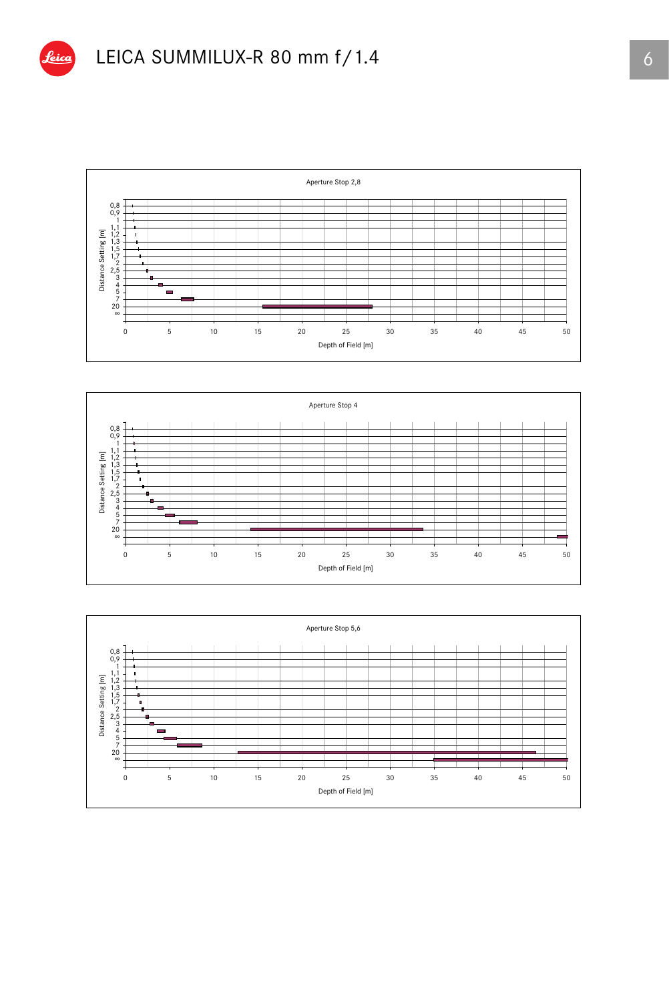